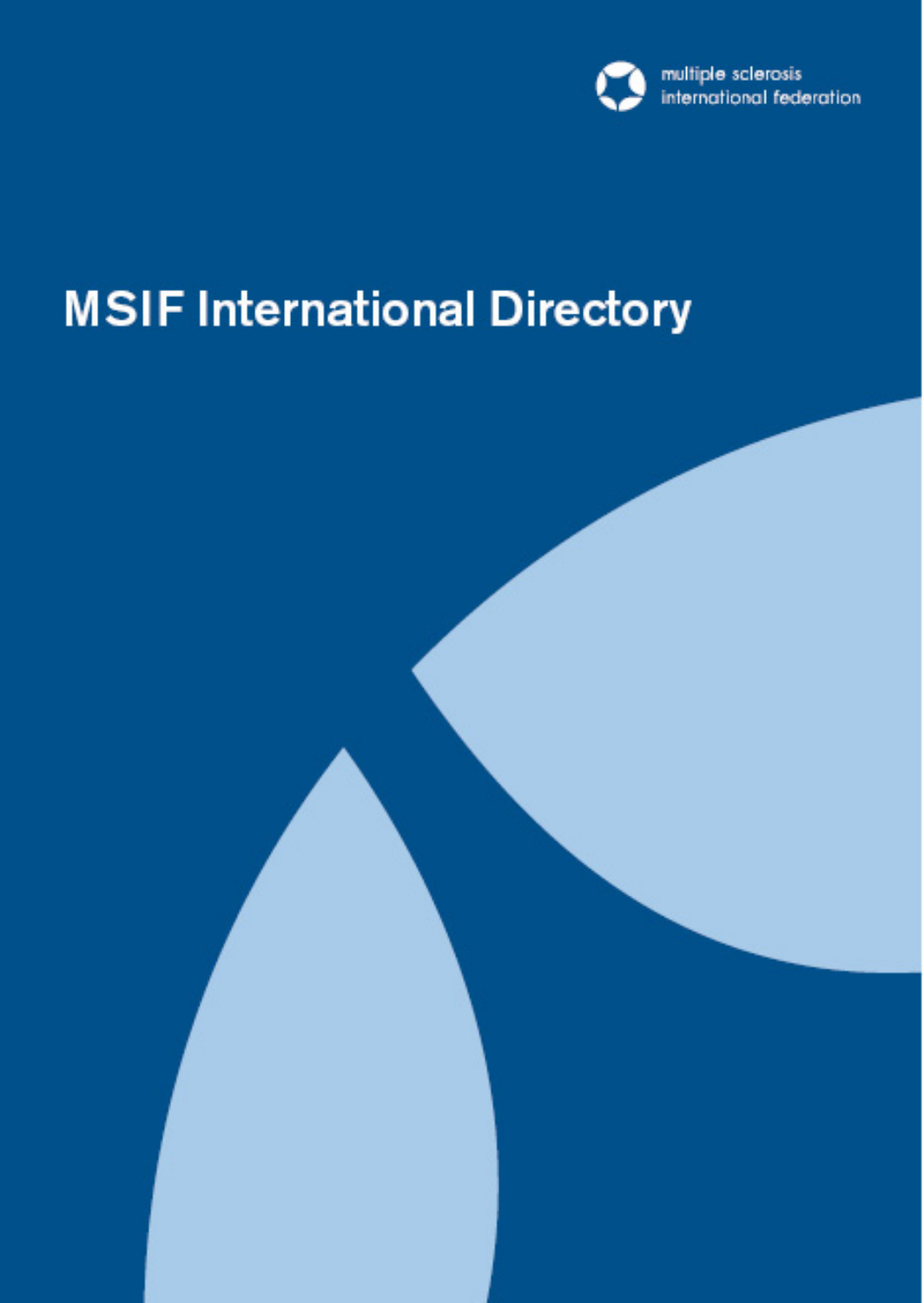

# **MSIF International Directory**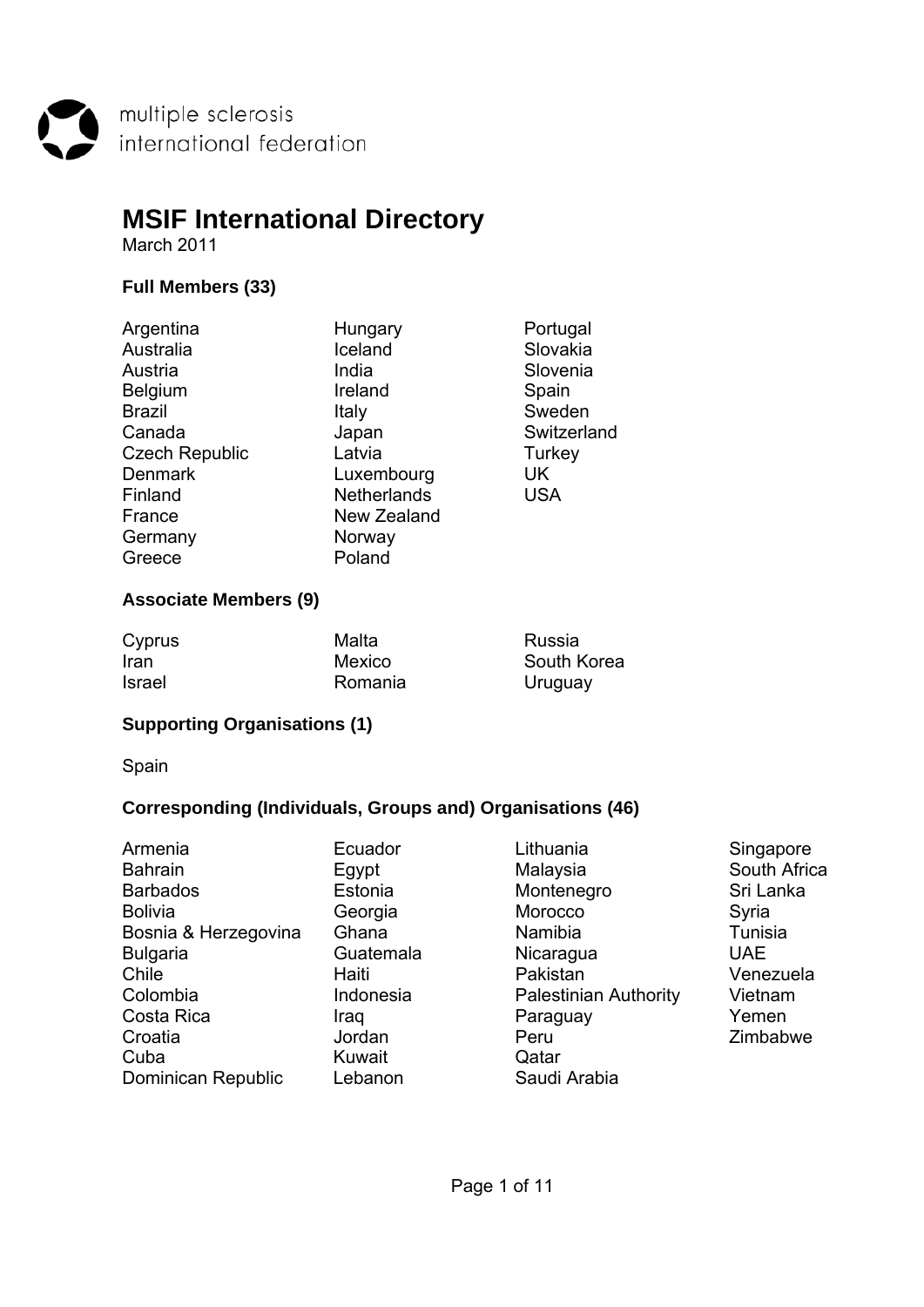multiple sclerosis<br>international federation

# **MSIF International Directory**

March 2011

# **Full Members (33)**

| Hungary            | Portugal    |
|--------------------|-------------|
| Iceland            | Slovakia    |
| India              | Slovenia    |
| Ireland            | Spain       |
| Italy              | Sweden      |
| Japan              | Switzerland |
| Latvia             | Turkey      |
| Luxembourg         | UK          |
| <b>Netherlands</b> | <b>USA</b>  |
| New Zealand        |             |
| Norway             |             |
| Poland             |             |
|                    |             |

## **Associate Members (9)**

| Cyprus        | Malta   | Russia      |
|---------------|---------|-------------|
| Iran          | Mexico  | South Korea |
| <b>Israel</b> | Romania | Uruguay     |

# **Supporting Organisations (1)**

Spain

## **Corresponding (Individuals, Groups and) Organisations (46)**

| Armenia              | Ecuador   |
|----------------------|-----------|
| <b>Bahrain</b>       | Egypt     |
| <b>Barbados</b>      | Estonia   |
| <b>Bolivia</b>       | Georgia   |
| Bosnia & Herzegovina | Ghana     |
| <b>Bulgaria</b>      | Guatemala |
| Chile                | Haiti     |
| Colombia             | Indonesia |
| Costa Rica           | Iraq      |
| Croatia              | Jordan    |
| Cuba                 | Kuwait    |
| Dominican Republic   | Lebanon   |

- Lithuania **Ecuador Ecuador Lithuania**<br>
Malaysia **Ecuador South Afric** Montenegro Sri Lanka Morocco Syria Namibia **Bosnia Namibia** Tunisia Nicaragua UAE Pakistan Venezuela Palestinian Authority Vietnam Paraguay **Paraguay Paraguay Pemen**<br>Peru Zimbab Qatar Saudi Arabia
	- South Africa Zimbabwe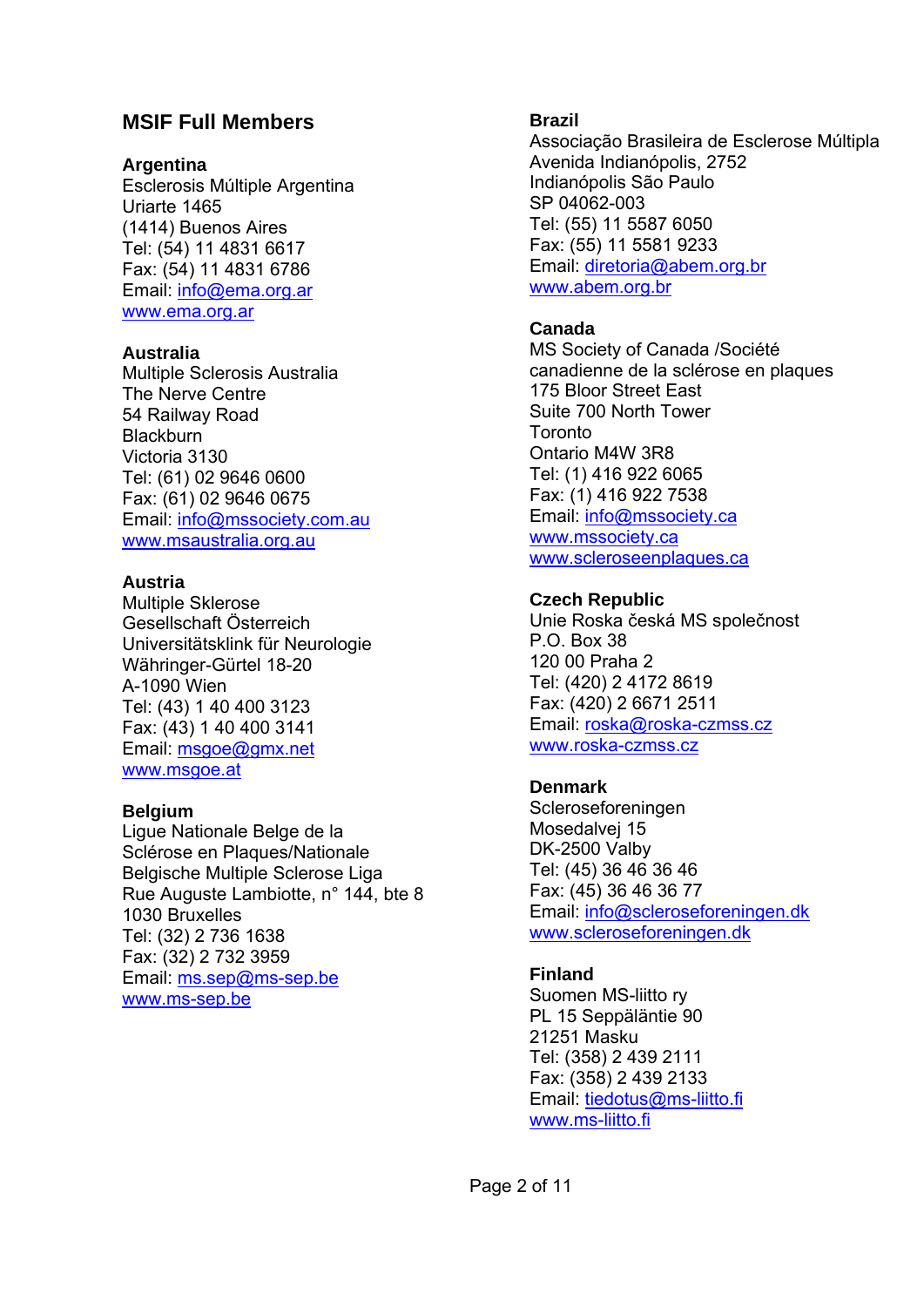# **MSIF Full Members**

#### **Argentina**

Esclerosis Múltiple Argentina Uriarte 1465 (1414) Buenos Aires Tel: (54) 11 4831 6617 Fax: (54) 11 4831 6786 Email: info@ema.org.ar www.ema.org.ar

#### **Australia**

Multiple Sclerosis Australia The Nerve Centre 54 Railway Road **Blackburn** Victoria 3130 Tel: (61) 02 9646 0600 Fax: (61) 02 9646 0675 Email: info@mssociety.com.au www.msaustralia.org.au

#### **Austria**

Multiple Sklerose Gesellschaft Österreich Universitätsklink für Neurologie Währinger-Gürtel 18-20 A-1090 Wien Tel: (43) 1 40 400 3123 Fax: (43) 1 40 400 3141 Email: msgoe@gmx.net www.msgoe.at

#### **Belgium**

Ligue Nationale Belge de la Sclérose en Plaques/Nationale Belgische Multiple Sclerose Liga Rue Auguste Lambiotte, n° 144, bte 8 1030 Bruxelles Tel: (32) 2 736 1638 Fax: (32) 2 732 3959 Email: ms.sep@ms-sep.be www.ms-sep.be

#### **Brazil**

Associação Brasileira de Esclerose Múltipla Avenida Indianópolis, 2752 Indianópolis São Paulo SP 04062-003 Tel: (55) 11 5587 6050 Fax: (55) 11 5581 9233 Email: diretoria@abem.org.br www.abem.org.br

## **Canada**

MS Society of Canada /Société canadienne de la sclérose en plaques 175 Bloor Street East Suite 700 North Tower Toronto Ontario M4W 3R8 Tel: (1) 416 922 6065 Fax: (1) 416 922 7538 Email: info@mssociety.ca www.mssociety.ca www.scleroseenplaques.ca

#### **Czech Republic**

Unie Roska česká MS společnost P.O. Box 38 120 00 Praha 2 Tel: (420) 2 4172 8619 Fax: (420) 2 6671 2511 Email: roska@roska-czmss.cz www.roska-czmss.cz

## **Denmark**

Scleroseforeningen Mosedalvej 15 DK-2500 Valby Tel: (45) 36 46 36 46 Fax: (45) 36 46 36 77 Email: info@scleroseforeningen.dk www.scleroseforeningen.dk

## **Finland**

Suomen MS-liitto ry PL 15 Seppäläntie 90 21251 Masku Tel: (358) 2 439 2111 Fax: (358) 2 439 2133 Email: tiedotus@ms-liitto.fi www.ms-liitto.fi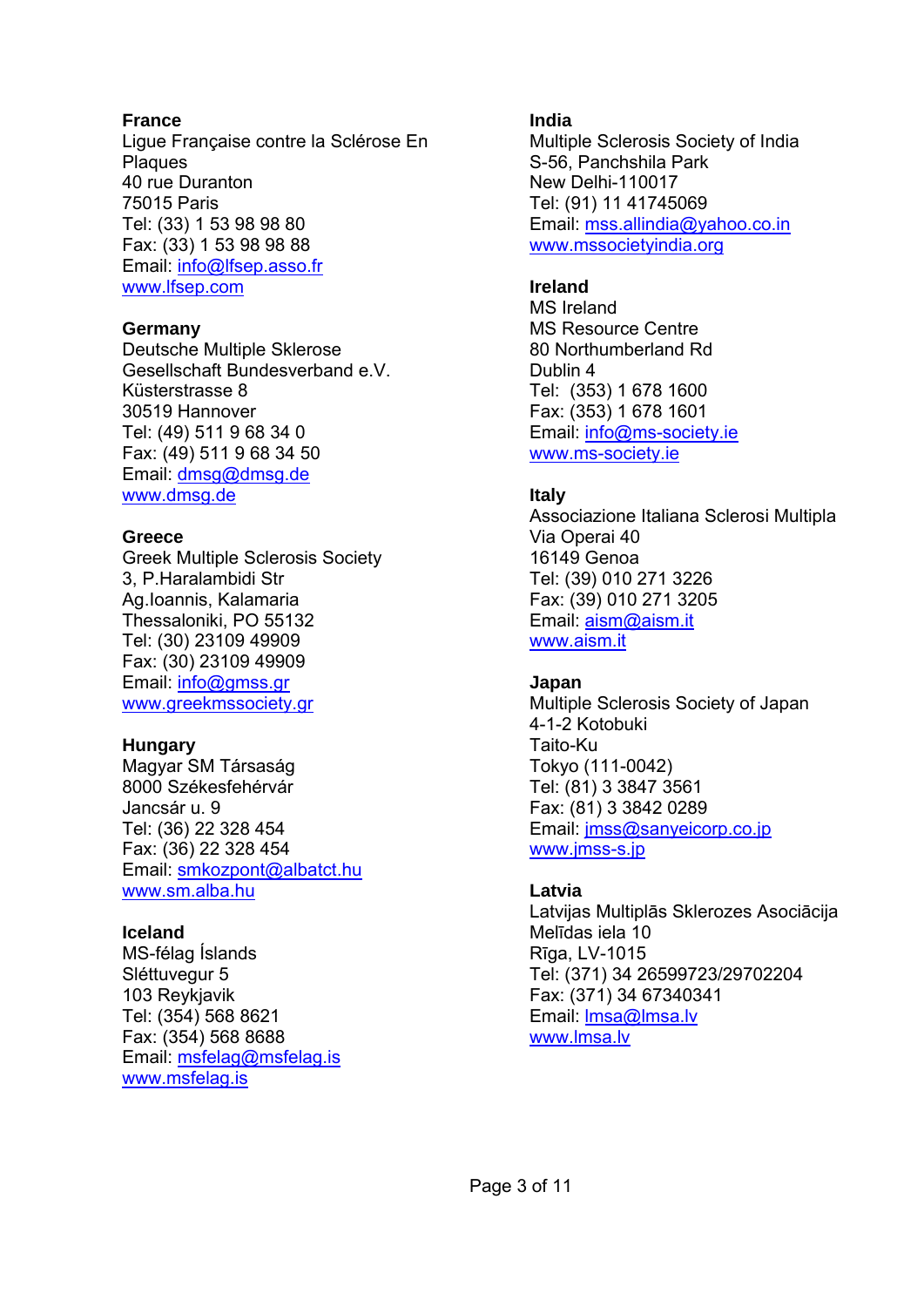#### **France**

Ligue Française contre la Sclérose En Plaques 40 rue Duranton 75015 Paris Tel: (33) 1 53 98 98 80 Fax: (33) 1 53 98 98 88 Email: info@lfsep.asso.fr www.lfsep.com

#### **Germany**

Deutsche Multiple Sklerose Gesellschaft Bundesverband e.V. Küsterstrasse 8 30519 Hannover Tel: (49) 511 9 68 34 0 Fax: (49) 511 9 68 34 50 Email: dmsg@dmsg.de www.dmsg.de

#### **Greece**

Greek Multiple Sclerosis Society 3, P.Haralambidi Str Ag.Ioannis, Kalamaria Thessaloniki, PO 55132 Tel: (30) 23109 49909 Fax: (30) 23109 49909 Email: info@gmss.gr www.greekmssociety.gr

#### **Hungary**

Magyar SM Társaság 8000 Székesfehérvár Jancsár u. 9 Tel: (36) 22 328 454 Fax: (36) 22 328 454 Email: smkozpont@albatct.hu www.sm.alba.hu

#### **Iceland**

MS-félag Íslands Sléttuvegur 5 103 Reykjavik Tel: (354) 568 8621 Fax: (354) 568 8688 Email: msfelag@msfelag.is www.msfelag.is

## **India**

Multiple Sclerosis Society of India S-56, Panchshila Park New Delhi-110017 Tel: (91) 11 41745069 Email: mss.allindia@yahoo.co.in www.mssocietyindia.org

## **Ireland**

MS Ireland MS Resource Centre 80 Northumberland Rd Dublin 4 Tel: (353) 1 678 1600 Fax: (353) 1 678 1601 Email: info@ms-society.ie www.ms-society.ie

## **Italy**

Associazione Italiana Sclerosi Multipla Via Operai 40 16149 Genoa Tel: (39) 010 271 3226 Fax: (39) 010 271 3205 Email: aism@aism.it www.aism.it

#### **Japan**

Multiple Sclerosis Society of Japan 4-1-2 Kotobuki Taito-Ku Tokyo (111-0042) Tel: (81) 3 3847 3561 Fax: (81) 3 3842 0289 Email: jmss@sanyeicorp.co.jp www.jmss-s.jp

## **Latvia**

Latvijas Multiplās Sklerozes Asociācija Melīdas iela 10 Rīga, LV-1015 Tel: (371) 34 26599723/29702204 Fax: (371) 34 67340341 Email: lmsa@lmsa.lv www.lmsa.lv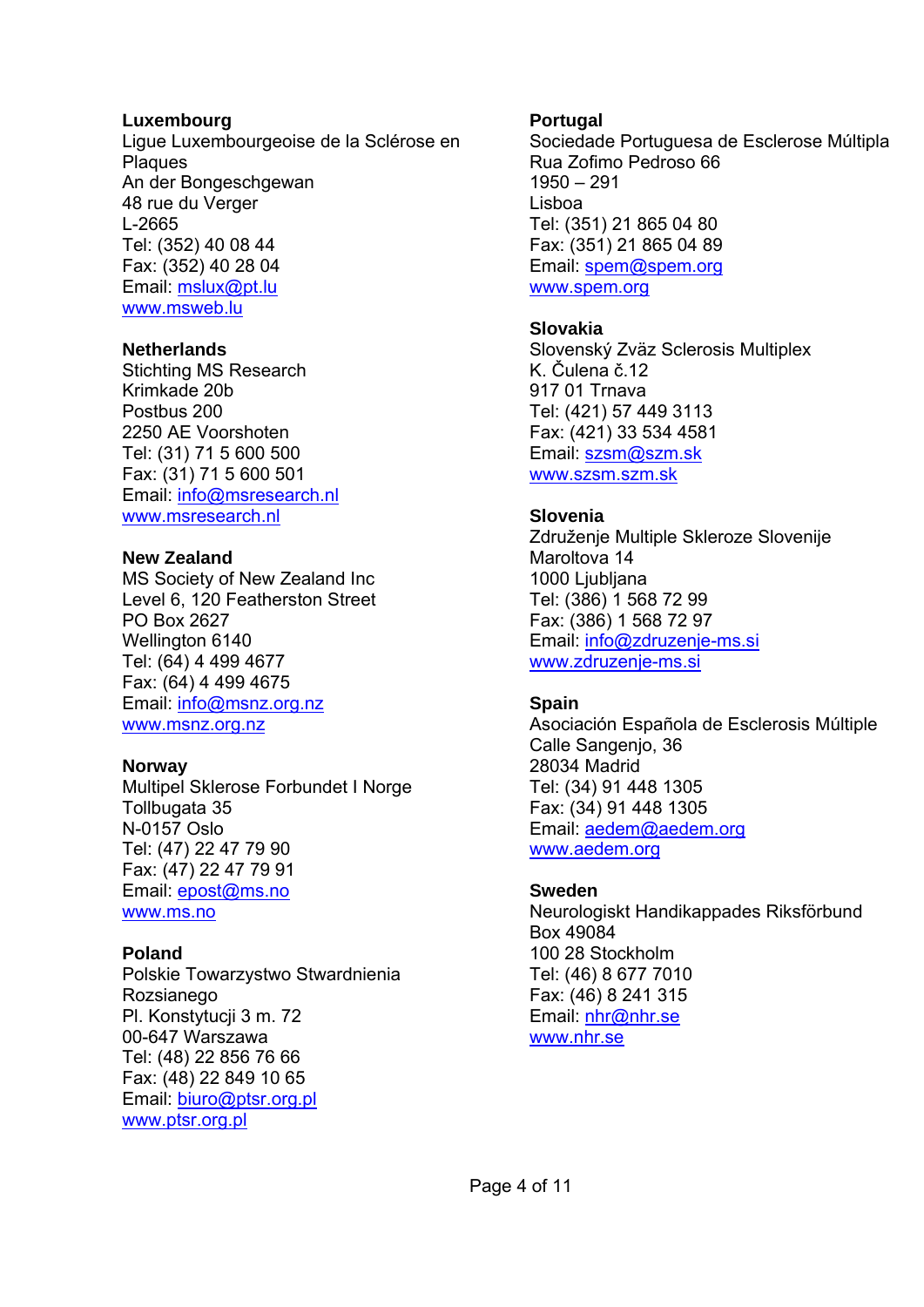#### **Luxembourg**

Ligue Luxembourgeoise de la Sclérose en Plaques An der Bongeschgewan 48 rue du Verger L-2665 Tel: (352) 40 08 44 Fax: (352) 40 28 04 Email: mslux@pt.lu www.msweb.lu

#### **Netherlands**

Stichting MS Research Krimkade 20b Postbus 200 2250 AE Voorshoten Tel: (31) 71 5 600 500 Fax: (31) 71 5 600 501 Email: info@msresearch.nl www.msresearch.nl

#### **New Zealand**

MS Society of New Zealand Inc Level 6, 120 Featherston Street PO Box 2627 Wellington 6140 Tel: (64) 4 499 4677 Fax: (64) 4 499 4675 Email: info@msnz.org.nz www.msnz.org.nz

#### **Norway**

Multipel Sklerose Forbundet I Norge Tollbugata 35 N-0157 Oslo Tel: (47) 22 47 79 90 Fax: (47) 22 47 79 91 Email: epost@ms.no www.ms.no

#### **Poland**

Polskie Towarzystwo Stwardnienia Rozsianego Pl. Konstytucji 3 m. 72 00-647 Warszawa Tel: (48) 22 856 76 66 Fax: (48) 22 849 10 65 Email: biuro@ptsr.org.pl www.ptsr.org.pl

#### **Portugal**

Sociedade Portuguesa de Esclerose Múltipla Rua Zofimo Pedroso 66 1950 – 291 Lisboa Tel: (351) 21 865 04 80 Fax: (351) 21 865 04 89 Email: spem@spem.org www.spem.org

#### **Slovakia**

Slovenský Zväz Sclerosis Multiplex K. Čulena č.12 917 01 Trnava Tel: (421) 57 449 3113 Fax: (421) 33 534 4581 Email: szsm@szm.sk www.szsm.szm.sk

#### **Slovenia**

Združenje Multiple Skleroze Slovenije Maroltova 14 1000 Ljubljana Tel: (386) 1 568 72 99 Fax: (386) 1 568 72 97 Email: info@zdruzenje-ms.si www.zdruzenje-ms.si

#### **Spain**

Asociación Española de Esclerosis Múltiple Calle Sangenjo, 36 28034 Madrid Tel: (34) 91 448 1305 Fax: (34) 91 448 1305 Email: aedem@aedem.org www.aedem.org

#### **Sweden**

Neurologiskt Handikappades Riksförbund Box 49084 100 28 Stockholm Tel: (46) 8 677 7010 Fax: (46) 8 241 315 Email: nhr@nhr.se www.nhr.se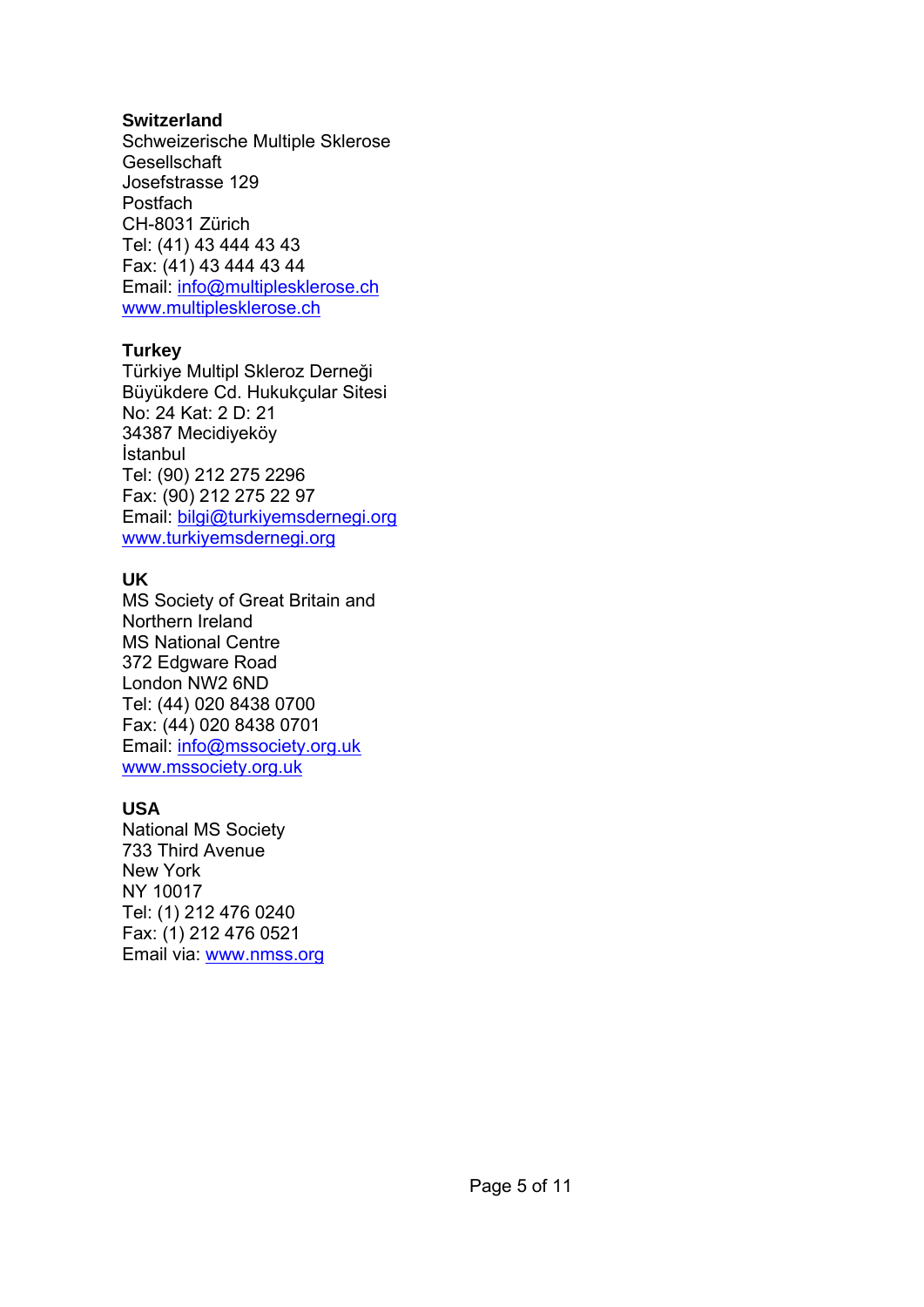#### **Switzerland**

Schweizerische Multiple Sklerose **Gesellschaft** Josefstrasse 129 **Postfach** CH-8031 Zürich Tel: (41) 43 444 43 43 Fax: (41) 43 444 43 44 Email: info@multiplesklerose.ch www.multiplesklerose.ch

## **Turkey**

Türkiye Multipl Skleroz Derneği Büyükdere Cd. Hukukçular Sitesi No: 24 Kat: 2 D: 21 34387 Mecidiyeköy İstanbul Tel: (90) 212 275 2296 Fax: (90) 212 275 22 97 Email: bilgi@turkiyemsdernegi.org www.turkiyemsdernegi.org

## **UK**

MS Society of Great Britain and Northern Ireland MS National Centre 372 Edgware Road London NW2 6ND Tel: (44) 020 8438 0700 Fax: (44) 020 8438 0701 Email: info@mssociety.org.uk www.mssociety.org.uk

## **USA**

National MS Society 733 Third Avenue New York NY 10017 Tel: (1) 212 476 0240 Fax: (1) 212 476 0521 Email via: www.nmss.org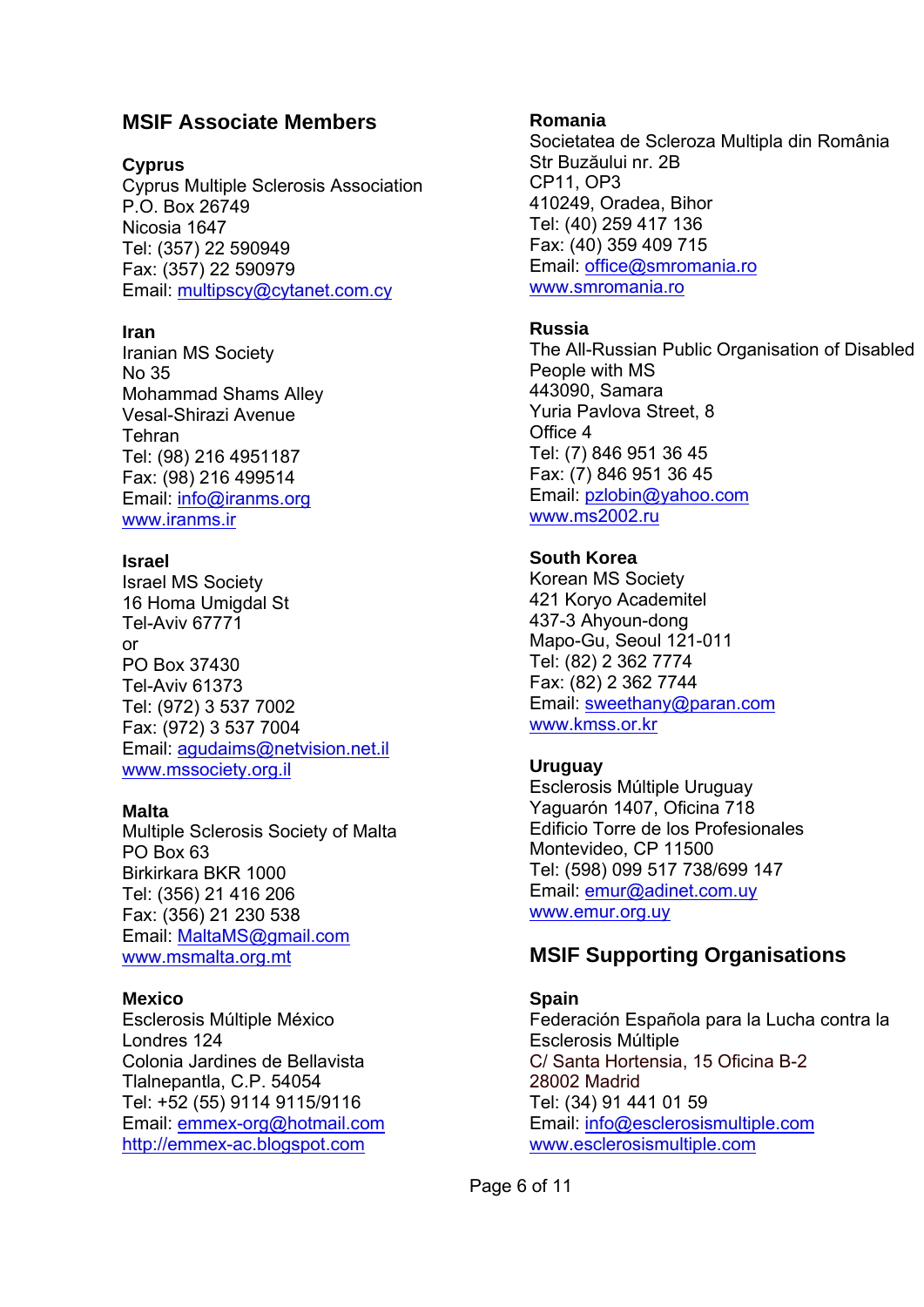# **MSIF Associate Members**

#### **Cyprus**

Cyprus Multiple Sclerosis Association P.O. Box 26749 Nicosia 1647 Tel: (357) 22 590949 Fax: (357) 22 590979 Email: multipscy@cytanet.com.cy

#### **Iran**

Iranian MS Society No 35 Mohammad Shams Alley Vesal-Shirazi Avenue Tehran Tel: (98) 216 4951187 Fax: (98) 216 499514 Email: info@iranms.org www.iranms.ir

#### **Israel**

Israel MS Society 16 Homa Umigdal St Tel-Aviv 67771 or PO Box 37430 Tel-Aviv 61373 Tel: (972) 3 537 7002 Fax: (972) 3 537 7004 Email: agudaims@netvision.net.il www.mssociety.org.il

#### **Malta**

Multiple Sclerosis Society of Malta PO Box 63 Birkirkara BKR 1000 Tel: (356) 21 416 206 Fax: (356) 21 230 538 Email: MaltaMS@gmail.com www.msmalta.org.mt

#### **Mexico**

Esclerosis Múltiple México Londres 124 Colonia Jardines de Bellavista Tlalnepantla, C.P. 54054 Tel: +52 (55) 9114 9115/9116 Email: emmex-org@hotmail.com http://emmex-ac.blogspot.com

#### **Romania**

Societatea de Scleroza Multipla din România Str Buzăului nr. 2B CP11, OP3 410249, Oradea, Bihor Tel: (40) 259 417 136 Fax: (40) 359 409 715 Email: office@smromania.ro www.smromania.ro

## **Russia**

The All-Russian Public Organisation of Disabled People with MS 443090, Samara Yuria Pavlova Street, 8 Office 4 Tel: (7) 846 951 36 45 Fax: (7) 846 951 36 45 Email: pzlobin@yahoo.com www.ms2002.ru

## **South Korea**

Korean MS Society 421 Koryo Academitel 437-3 Ahyoun-dong Mapo-Gu, Seoul 121-011 Tel: (82) 2 362 7774 Fax: (82) 2 362 7744 Email: sweethany@paran.com www.kmss.or.kr

## **Uruguay**

Esclerosis Múltiple Uruguay Yaguarón 1407, Oficina 718 Edificio Torre de los Profesionales Montevideo, CP 11500 Tel: (598) 099 517 738/699 147 Email: emur@adinet.com.uy www.emur.org.uy

# **MSIF Supporting Organisations**

**Spain**  Federación Española para la Lucha contra la Esclerosis Múltiple C/ Santa Hortensia, 15 Oficina B-2 28002 Madrid Tel: (34) 91 441 01 59 Email: info@esclerosismultiple.com www.esclerosismultiple.com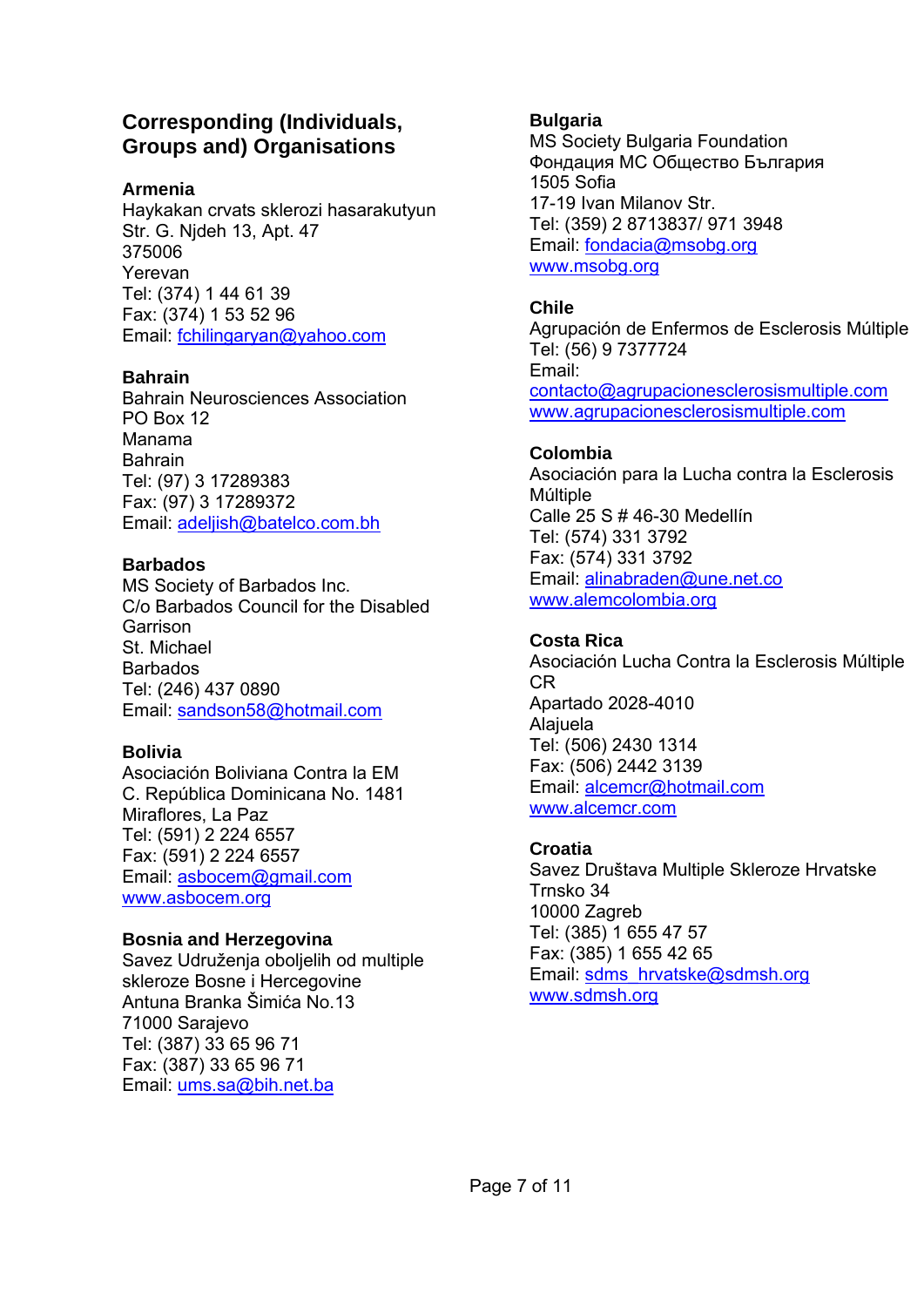# **Corresponding (Individuals, Groups and) Organisations**

## **Armenia**

Haykakan crvats sklerozi hasarakutyun Str. G. Njdeh 13, Apt. 47 375006 Yerevan Tel: (374) 1 44 61 39 Fax: (374) 1 53 52 96 Email: fchilingaryan@yahoo.com

## **Bahrain**

Bahrain Neurosciences Association PO Box 12 Manama Bahrain Tel: (97) 3 17289383 Fax: (97) 3 17289372 Email: adeljish@batelco.com.bh

## **Barbados**

MS Society of Barbados Inc. C/o Barbados Council for the Disabled **Garrison** St. Michael Barbados Tel: (246) 437 0890 Email: sandson58@hotmail.com

## **Bolivia**

Asociación Boliviana Contra la EM C. República Dominicana No. 1481 Miraflores, La Paz Tel: (591) 2 224 6557 Fax: (591) 2 224 6557 Email: asbocem@gmail.com www.asbocem.org

## **Bosnia and Herzegovina**

Savez Udruženja oboljelih od multiple skleroze Bosne i Hercegovine Antuna Branka Šimića No.13 71000 Sarajevo Tel: (387) 33 65 96 71 Fax: (387) 33 65 96 71 Email: ums.sa@bih.net.ba

# **Bulgaria**

MS Society Bulgaria Foundation Фондация МС Общество България 1505 Sofia 17-19 Ivan Milanov Str. Tel: (359) 2 8713837/ 971 3948 Email: fondacia@msobg.org www.msobg.org

# **Chile**

Agrupación de Enfermos de Esclerosis Múltiple Tel: (56) 9 7377724 Email: contacto@agrupacionesclerosismultiple.com www.agrupacionesclerosismultiple.com

## **Colombia**

Asociación para la Lucha contra la Esclerosis Múltiple Calle 25 S # 46-30 Medellín Tel: (574) 331 3792 Fax: (574) 331 3792 Email: alinabraden@une.net.co www.alemcolombia.org

# **Costa Rica**

Asociación Lucha Contra la Esclerosis Múltiple CR Apartado 2028-4010 Alajuela Tel: (506) 2430 1314 Fax: (506) 2442 3139 Email: alcemcr@hotmail.com www.alcemcr.com

## **Croatia**

Savez Društava Multiple Skleroze Hrvatske Trnsko 34 10000 Zagreb Tel: (385) 1 655 47 57 Fax: (385) 1 655 42 65 Email: sdms\_hrvatske@sdmsh.org www.sdmsh.org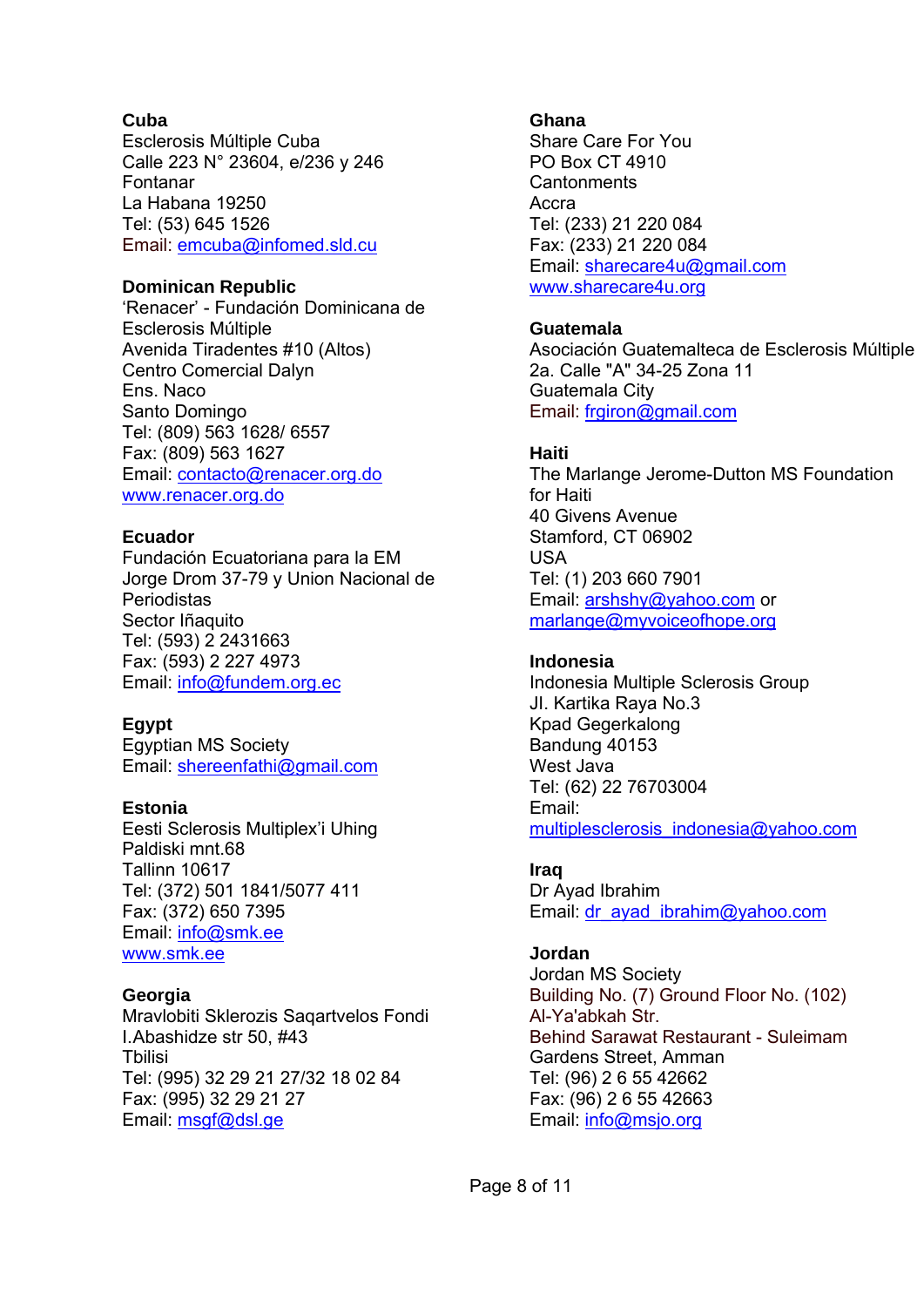#### **Cuba**

Esclerosis Múltiple Cuba Calle 223 N° 23604, e/236 y 246 Fontanar La Habana 19250 Tel: (53) 645 1526 Email: emcuba@infomed.sld.cu

#### **Dominican Republic**

'Renacer' - Fundación Dominicana de Esclerosis Múltiple Avenida Tiradentes #10 (Altos) Centro Comercial Dalyn Ens. Naco Santo Domingo Tel: (809) 563 1628/ 6557 Fax: (809) 563 1627 Email: contacto@renacer.org.do www.renacer.org.do

#### **Ecuador**

Fundación Ecuatoriana para la EM Jorge Drom 37-79 y Union Nacional de Periodistas Sector Iñaquito Tel: (593) 2 2431663 Fax: (593) 2 227 4973 Email: info@fundem.org.ec

#### **Egypt**

Egyptian MS Society Email: shereenfathi@gmail.com

#### **Estonia**

Eesti Sclerosis Multiplex'i Uhing Paldiski mnt.68 Tallinn 10617 Tel: (372) 501 1841/5077 411 Fax: (372) 650 7395 Email: info@smk.ee www.smk.ee

#### **Georgia**

Mravlobiti Sklerozis Saqartvelos Fondi I. Abashidze str 50, #43 **T**bilisi Tel: (995) 32 29 21 27/32 18 02 84 Fax: (995) 32 29 21 27 Email: msgf@dsl.ge

#### **Ghana**

Share Care For You PO Box CT 4910 **Cantonments** Accra Tel: (233) 21 220 084 Fax: (233) 21 220 084 Email: sharecare4u@gmail.com www.sharecare4u.org

#### **Guatemala**

Asociación Guatemalteca de Esclerosis Múltiple 2a. Calle "A" 34-25 Zona 11 Guatemala City Email: frgiron@gmail.com

#### **Haiti**

The Marlange Jerome-Dutton MS Foundation for Haiti 40 Givens Avenue Stamford, CT 06902 USA Tel: (1) 203 660 7901 Email: arshshy@yahoo.com or marlange@myvoiceofhope.org

#### **Indonesia**

Indonesia Multiple Sclerosis Group JI. Kartika Raya No.3 Kpad Gegerkalong Bandung 40153 West Java Tel: (62) 22 76703004 Email: multiplesclerosis\_indonesia@yahoo.com

#### **Iraq**

Dr Ayad Ibrahim Email: dr\_ayad\_ibrahim@yahoo.com

#### **Jordan**

Jordan MS Society Building No. (7) Ground Floor No. (102) Al-Ya'abkah Str. Behind Sarawat Restaurant - Suleimam Gardens Street, Amman Tel: (96) 2 6 55 42662 Fax: (96) 2 6 55 42663 Email: info@msjo.org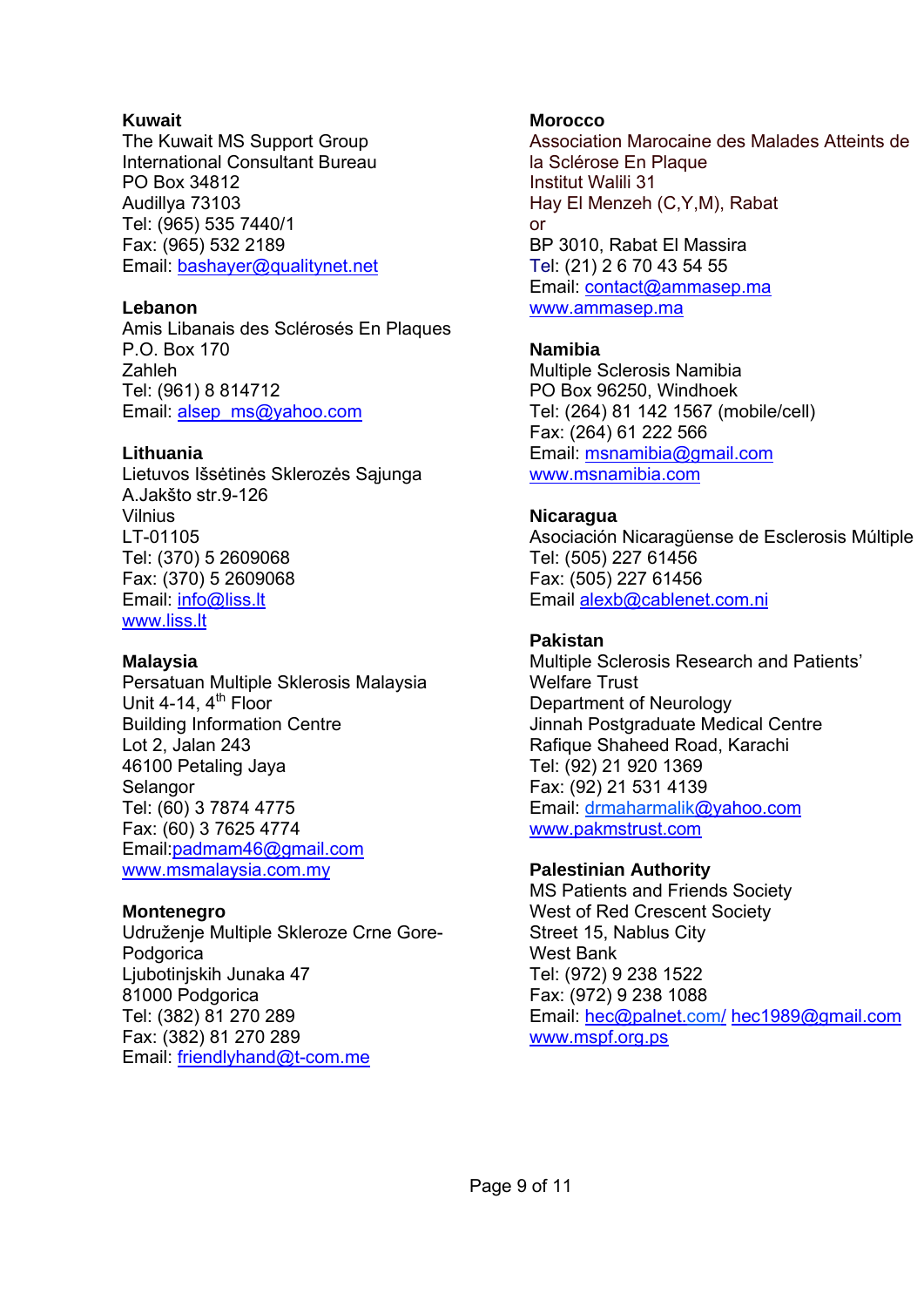#### **Kuwait**

The Kuwait MS Support Group International Consultant Bureau PO Box 34812 Audillya 73103 Tel: (965) 535 7440/1 Fax: (965) 532 2189 Email: bashayer@qualitynet.net

#### **Lebanon**

Amis Libanais des Sclérosés En Plaques P.O. Box 170 Zahleh Tel: (961) 8 814712 Email: alsep\_ms@yahoo.com

#### **Lithuania**

Lietuvos Išsėtinės Sklerozės Sąjunga A.Jakšto str.9-126 Vilnius LT-01105 Tel: (370) 5 2609068 Fax: (370) 5 2609068 Email: info@liss.lt www.liss.lt

#### **Malaysia**

Persatuan Multiple Sklerosis Malaysia Unit 4-14,  $4<sup>th</sup>$  Floor Building Information Centre Lot 2, Jalan 243 46100 Petaling Jaya Selangor Tel: (60) 3 7874 4775 Fax: (60) 3 7625 4774 Email:padmam46@gmail.com www.msmalaysia.com.my

#### **Montenegro**

Udruženje Multiple Skleroze Crne Gore-Podgorica Ljubotinjskih Junaka 47 81000 Podgorica Tel: (382) 81 270 289 Fax: (382) 81 270 289 Email: friendlyhand@t-com.me

#### **Morocco**

Association Marocaine des Malades Atteints de la Sclérose En Plaque Institut Walili 31 Hay El Menzeh (C,Y,M), Rabat or BP 3010, Rabat El Massira Tel: (21) 2 6 70 43 54 55 Email: contact@ammasep.ma www.ammasep.ma

#### **Namibia**

Multiple Sclerosis Namibia PO Box 96250, Windhoek Tel: (264) 81 142 1567 (mobile/cell) Fax: (264) 61 222 566 Email: msnamibia@gmail.com www.msnamibia.com

#### **Nicaragua**

Asociación Nicaragüense de Esclerosis Múltiple Tel: (505) 227 61456 Fax: (505) 227 61456 Email alexb@cablenet.com.ni

#### **Pakistan**

Multiple Sclerosis Research and Patients' Welfare Trust Department of Neurology Jinnah Postgraduate Medical Centre Rafique Shaheed Road, Karachi Tel: (92) 21 920 1369 Fax: (92) 21 531 4139 Email: drmaharmalik@yahoo.com www.pakmstrust.com

#### **Palestinian Authority**

MS Patients and Friends Society West of Red Crescent Society Street 15, Nablus City West Bank Tel: (972) 9 238 1522 Fax: (972) 9 238 1088 Email: hec@palnet.com/ hec1989@gmail.com www.mspf.org.ps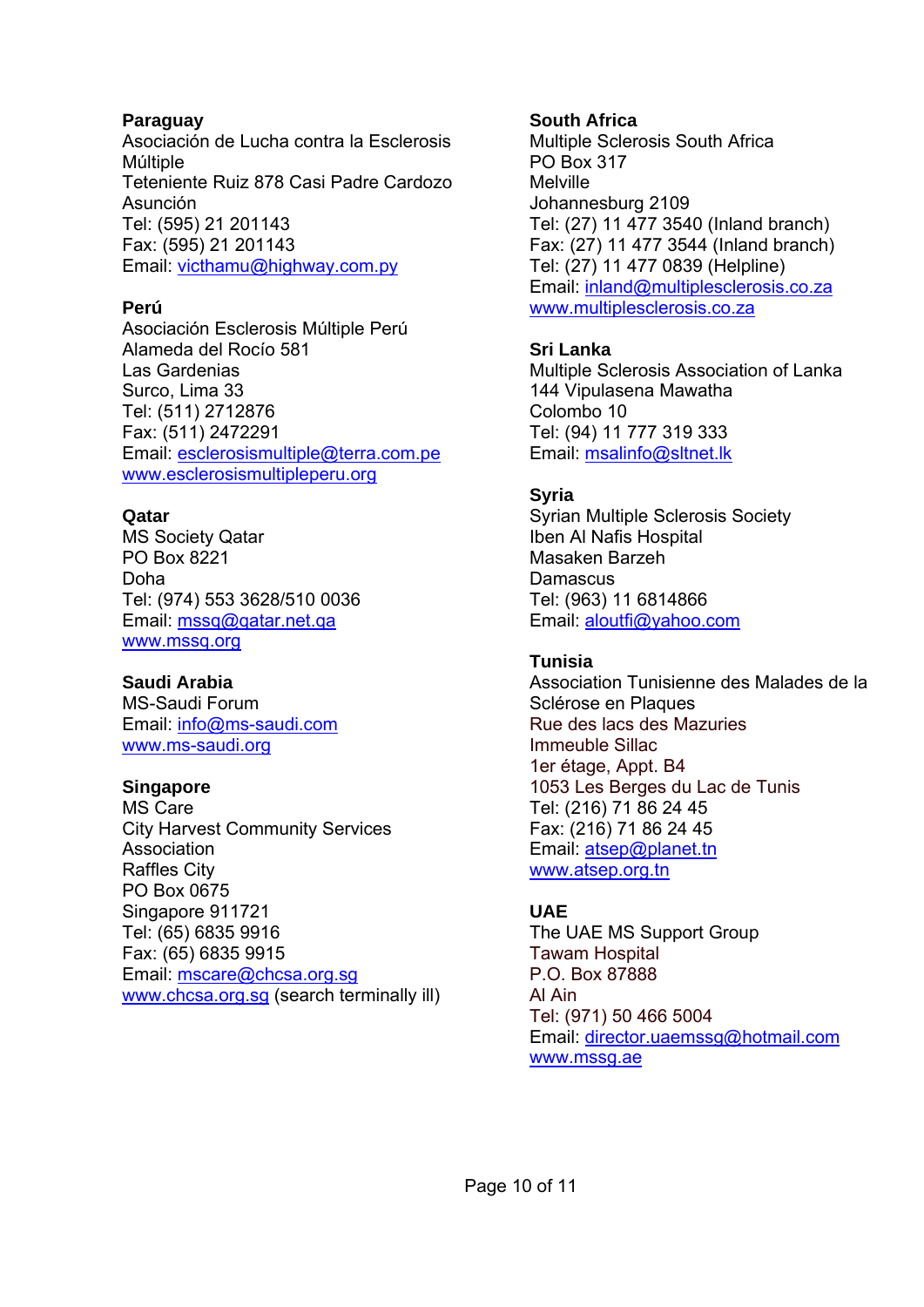#### **Paraguay**

Asociación de Lucha contra la Esclerosis Múltiple Teteniente Ruiz 878 Casi Padre Cardozo Asunción Tel: (595) 21 201143 Fax: (595) 21 201143 Email: victhamu@highway.com.py

## **Perú**

Asociación Esclerosis Múltiple Perú Alameda del Rocío 581 Las Gardenias Surco, Lima 33 Tel: (511) 2712876 Fax: (511) 2472291 Email: esclerosismultiple@terra.com.pe www.esclerosismultipleperu.org

## **Qatar**

MS Society Qatar PO Box 8221 Doha Tel: (974) 553 3628/510 0036 Email: mssq@qatar.net.qa www.mssq.org

#### **Saudi Arabia**

MS-Saudi Forum Email: info@ms-saudi.com www.ms-saudi.org

## **Singapore**

MS Care City Harvest Community Services Association Raffles City PO Box 0675 Singapore 911721 Tel: (65) 6835 9916 Fax: (65) 6835 9915 Email: mscare@chcsa.org.sg www.chcsa.org.sg (search terminally ill)

## **South Africa**

Multiple Sclerosis South Africa PO Box 317 Melville Johannesburg 2109 Tel: (27) 11 477 3540 (Inland branch) Fax: (27) 11 477 3544 (Inland branch) Tel: (27) 11 477 0839 (Helpline) Email: inland@multiplesclerosis.co.za www.multiplesclerosis.co.za

## **Sri Lanka**

Multiple Sclerosis Association of Lanka 144 Vipulasena Mawatha Colombo 10 Tel: (94) 11 777 319 333 Email: msalinfo@sltnet.lk

## **Syria**

Syrian Multiple Sclerosis Society Iben Al Nafis Hospital Masaken Barzeh **Damascus** Tel: (963) 11 6814866 Email: aloutfi@yahoo.com

# **Tunisia**

Association Tunisienne des Malades de la Sclérose en Plaques Rue des lacs des Mazuries Immeuble Sillac 1er étage, Appt. B4 1053 Les Berges du Lac de Tunis Tel: (216) 71 86 24 45 Fax: (216) 71 86 24 45 Email: atsep@planet.tn www.atsep.org.tn

# **UAE**

The UAE MS Support Group Tawam Hospital P.O. Box 87888 Al Ain Tel: (971) 50 466 5004 Email: director.uaemssg@hotmail.com www.mssg.ae